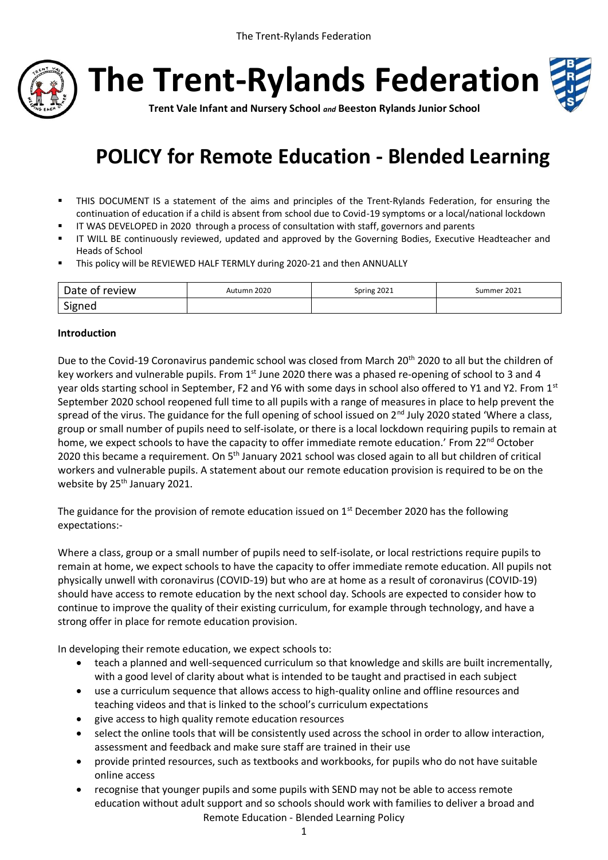



**Trent Vale Infant and Nursery School** *and* **Beeston Rylands Junior School**

# **POLICY for Remote Education - Blended Learning**

- THIS DOCUMENT IS a statement of the aims and principles of the Trent-Rylands Federation, for ensuring the continuation of education if a child is absent from school due to Covid-19 symptoms or a local/national lockdown
- IT WAS DEVELOPED in 2020 through a process of consultation with staff, governors and parents
- IT WILL BE continuously reviewed, updated and approved by the Governing Bodies, Executive Headteacher and Heads of School
- This policy will be REVIEWED HALF TERMLY during 2020-21 and then ANNUALLY

| Date of review | Autumn 2020 | Spring 2021 | Summer 2021 |
|----------------|-------------|-------------|-------------|
| Signed         |             |             |             |

#### **Introduction**

Due to the Covid-19 Coronavirus pandemic school was closed from March 20<sup>th</sup> 2020 to all but the children of key workers and vulnerable pupils. From  $1<sup>st</sup>$  June 2020 there was a phased re-opening of school to 3 and 4 year olds starting school in September, F2 and Y6 with some days in school also offered to Y1 and Y2. From 1st September 2020 school reopened full time to all pupils with a range of measures in place to help prevent the spread of the virus. The guidance for the full opening of school issued on 2<sup>nd</sup> July 2020 stated 'Where a class, group or small number of pupils need to self-isolate, or there is a local lockdown requiring pupils to remain at home, we expect schools to have the capacity to offer immediate remote education.' From 22<sup>nd</sup> October 2020 this became a requirement. On 5<sup>th</sup> January 2021 school was closed again to all but children of critical workers and vulnerable pupils. A statement about our remote education provision is required to be on the website by 25<sup>th</sup> January 2021.

The guidance for the provision of remote education issued on  $1<sup>st</sup>$  December 2020 has the following expectations:-

Where a class, group or a small number of pupils need to self-isolate, or local restrictions require pupils to remain at home, we expect schools to have the capacity to offer immediate remote education. All pupils not physically unwell with coronavirus (COVID-19) but who are at home as a result of coronavirus (COVID-19) should have access to remote education by the next school day. Schools are expected to consider how to continue to improve the quality of their existing curriculum, for example through technology, and have a strong offer in place for remote education provision.

In developing their remote education, we expect schools to:

- teach a planned and well-sequenced curriculum so that knowledge and skills are built incrementally, with a good level of clarity about what is intended to be taught and practised in each subject
- use a curriculum sequence that allows access to high-quality online and offline resources and teaching videos and that is linked to the school's curriculum expectations
- give access to high quality remote education resources
- select the online tools that will be consistently used across the school in order to allow interaction, assessment and feedback and make sure staff are trained in their use
- provide printed resources, such as textbooks and workbooks, for pupils who do not have suitable online access
- Remote Education Blended Learning Policy recognise that younger pupils and some pupils with SEND may not be able to access remote education without adult support and so schools should work with families to deliver a broad and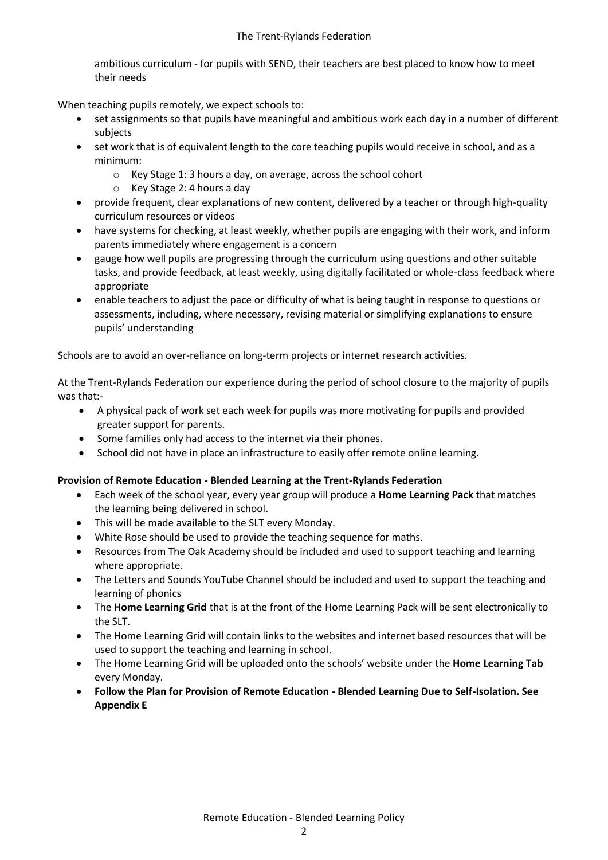ambitious curriculum - for pupils with SEND, their teachers are best placed to know how to meet their needs

When teaching pupils remotely, we expect schools to:

- set assignments so that pupils have meaningful and ambitious work each day in a number of different subjects
- set work that is of equivalent length to the core teaching pupils would receive in school, and as a minimum:
	- o Key Stage 1: 3 hours a day, on average, across the school cohort
	- o Key Stage 2: 4 hours a day
- provide frequent, clear explanations of new content, delivered by a teacher or through high-quality curriculum resources or videos
- have systems for checking, at least weekly, whether pupils are engaging with their work, and inform parents immediately where engagement is a concern
- gauge how well pupils are progressing through the curriculum using questions and other suitable tasks, and provide feedback, at least weekly, using digitally facilitated or whole-class feedback where appropriate
- enable teachers to adjust the pace or difficulty of what is being taught in response to questions or assessments, including, where necessary, revising material or simplifying explanations to ensure pupils' understanding

Schools are to avoid an over-reliance on long-term projects or internet research activities.

At the Trent-Rylands Federation our experience during the period of school closure to the majority of pupils was that:-

- A physical pack of work set each week for pupils was more motivating for pupils and provided greater support for parents.
- Some families only had access to the internet via their phones.
- School did not have in place an infrastructure to easily offer remote online learning.

#### **Provision of Remote Education - Blended Learning at the Trent-Rylands Federation**

- Each week of the school year, every year group will produce a **Home Learning Pack** that matches the learning being delivered in school.
- This will be made available to the SLT every Monday.
- White Rose should be used to provide the teaching sequence for maths.
- Resources from The Oak Academy should be included and used to support teaching and learning where appropriate.
- The Letters and Sounds YouTube Channel should be included and used to support the teaching and learning of phonics
- The **Home Learning Grid** that is at the front of the Home Learning Pack will be sent electronically to the SLT.
- The Home Learning Grid will contain links to the websites and internet based resources that will be used to support the teaching and learning in school.
- The Home Learning Grid will be uploaded onto the schools' website under the **Home Learning Tab** every Monday.
- **Follow the Plan for Provision of Remote Education - Blended Learning Due to Self-Isolation. See Appendix E**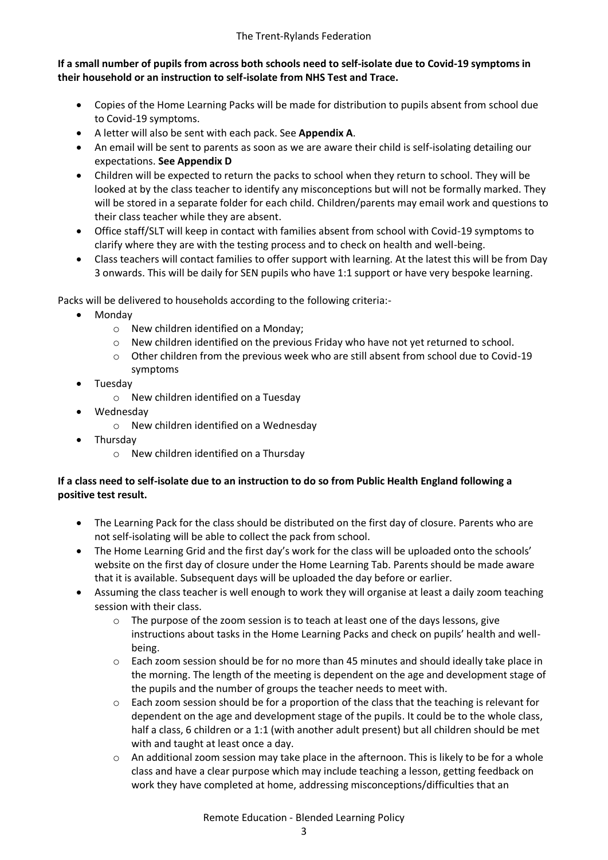#### **If a small number of pupils from across both schools need to self-isolate due to Covid-19 symptoms in their household or an instruction to self-isolate from NHS Test and Trace.**

- Copies of the Home Learning Packs will be made for distribution to pupils absent from school due to Covid-19 symptoms.
- A letter will also be sent with each pack. See **Appendix A**.
- An email will be sent to parents as soon as we are aware their child is self-isolating detailing our expectations. **See Appendix D**
- Children will be expected to return the packs to school when they return to school. They will be looked at by the class teacher to identify any misconceptions but will not be formally marked. They will be stored in a separate folder for each child. Children/parents may email work and questions to their class teacher while they are absent.
- Office staff/SLT will keep in contact with families absent from school with Covid-19 symptoms to clarify where they are with the testing process and to check on health and well-being.
- Class teachers will contact families to offer support with learning. At the latest this will be from Day 3 onwards. This will be daily for SEN pupils who have 1:1 support or have very bespoke learning.

Packs will be delivered to households according to the following criteria:-

- Monday
	- o New children identified on a Monday;
	- o New children identified on the previous Friday who have not yet returned to school.
	- $\circ$  Other children from the previous week who are still absent from school due to Covid-19 symptoms
- Tuesday
	- o New children identified on a Tuesday
- Wednesday
	- o New children identified on a Wednesday
- Thursday
	- o New children identified on a Thursday

#### **If a class need to self-isolate due to an instruction to do so from Public Health England following a positive test result.**

- The Learning Pack for the class should be distributed on the first day of closure. Parents who are not self-isolating will be able to collect the pack from school.
- The Home Learning Grid and the first day's work for the class will be uploaded onto the schools' website on the first day of closure under the Home Learning Tab. Parents should be made aware that it is available. Subsequent days will be uploaded the day before or earlier.
- Assuming the class teacher is well enough to work they will organise at least a daily zoom teaching session with their class.
	- $\circ$  The purpose of the zoom session is to teach at least one of the days lessons, give instructions about tasks in the Home Learning Packs and check on pupils' health and wellbeing.
	- o Each zoom session should be for no more than 45 minutes and should ideally take place in the morning. The length of the meeting is dependent on the age and development stage of the pupils and the number of groups the teacher needs to meet with.
	- $\circ$  Each zoom session should be for a proportion of the class that the teaching is relevant for dependent on the age and development stage of the pupils. It could be to the whole class, half a class, 6 children or a 1:1 (with another adult present) but all children should be met with and taught at least once a day.
	- $\circ$  An additional zoom session may take place in the afternoon. This is likely to be for a whole class and have a clear purpose which may include teaching a lesson, getting feedback on work they have completed at home, addressing misconceptions/difficulties that an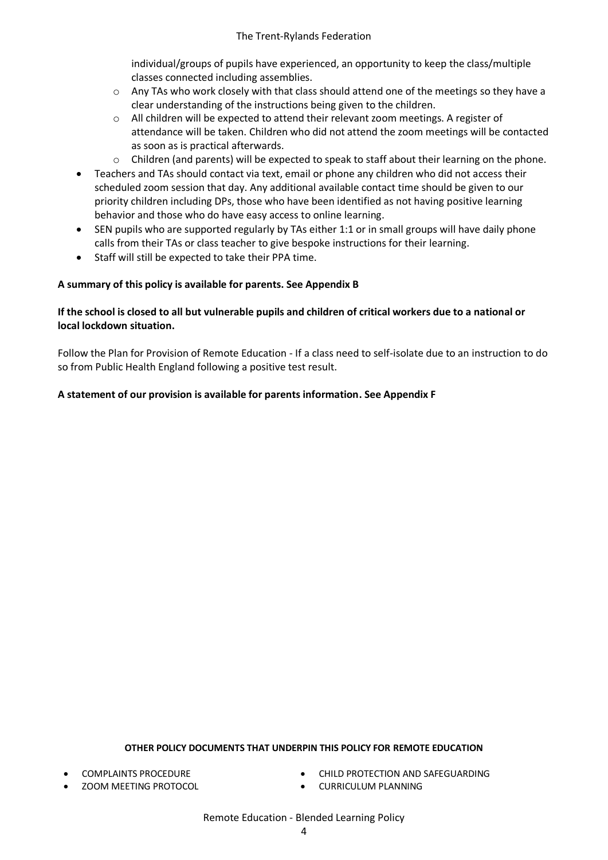individual/groups of pupils have experienced, an opportunity to keep the class/multiple classes connected including assemblies.

- o Any TAs who work closely with that class should attend one of the meetings so they have a clear understanding of the instructions being given to the children.
- $\circ$  All children will be expected to attend their relevant zoom meetings. A register of attendance will be taken. Children who did not attend the zoom meetings will be contacted as soon as is practical afterwards.
- $\circ$  Children (and parents) will be expected to speak to staff about their learning on the phone.
- Teachers and TAs should contact via text, email or phone any children who did not access their scheduled zoom session that day. Any additional available contact time should be given to our priority children including DPs, those who have been identified as not having positive learning behavior and those who do have easy access to online learning.
- SEN pupils who are supported regularly by TAs either 1:1 or in small groups will have daily phone calls from their TAs or class teacher to give bespoke instructions for their learning.
- Staff will still be expected to take their PPA time.

#### **A summary of this policy is available for parents. See Appendix B**

#### **If the school is closed to all but vulnerable pupils and children of critical workers due to a national or local lockdown situation.**

Follow the Plan for Provision of Remote Education - If a class need to self-isolate due to an instruction to do so from Public Health England following a positive test result.

#### **A statement of our provision is available for parents information. See Appendix F**

#### **OTHER POLICY DOCUMENTS THAT UNDERPIN THIS POLICY FOR REMOTE EDUCATION**

- COMPLAINTS PROCEDURE
- ZOOM MEETING PROTOCOL
- CHILD PROTECTION AND SAFEGUARDING
- **CURRICULUM PLANNING**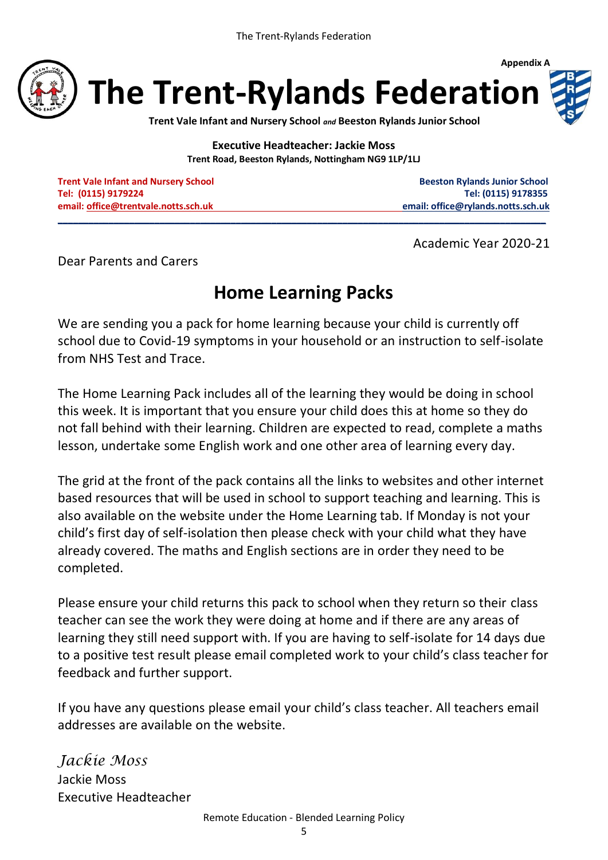

**Trent Vale Infant and Nursery School** *and* **Beeston Rylands Junior School**

**Executive Headteacher: Jackie Moss Trent Road, Beeston Rylands, Nottingham NG9 1LP/1LJ**

**\_\_\_\_\_\_\_\_\_\_\_\_\_\_\_\_\_\_\_\_\_\_\_\_\_\_\_\_\_\_\_\_\_\_\_\_\_\_\_\_\_\_\_\_\_\_\_\_\_\_\_\_\_\_\_\_\_\_\_\_\_\_\_\_\_\_\_\_\_\_\_\_\_\_\_\_\_\_\_\_\_\_\_\_\_\_\_\_\_\_\_\_\_\_\_\_**

**Trent Vale Infant and Nursery School School Beeston Rylands Junior School Beeston Rylands Junior School Tel: (0115) 9179224 Tel: (0115) 9178355 email[: office@trentvale.notts.sch.uk](mailto:office@trentvale.notts.sch.uk) email[: office@rylands.notts.sch.uk](mailto:office@rylands.notts.sch.uk)**

**Appendix A**

Academic Year 2020-21

Dear Parents and Carers

## **Home Learning Packs**

We are sending you a pack for home learning because your child is currently off school due to Covid-19 symptoms in your household or an instruction to self-isolate from NHS Test and Trace.

The Home Learning Pack includes all of the learning they would be doing in school this week. It is important that you ensure your child does this at home so they do not fall behind with their learning. Children are expected to read, complete a maths lesson, undertake some English work and one other area of learning every day.

The grid at the front of the pack contains all the links to websites and other internet based resources that will be used in school to support teaching and learning. This is also available on the website under the Home Learning tab. If Monday is not your child's first day of self-isolation then please check with your child what they have already covered. The maths and English sections are in order they need to be completed.

Please ensure your child returns this pack to school when they return so their class teacher can see the work they were doing at home and if there are any areas of learning they still need support with. If you are having to self-isolate for 14 days due to a positive test result please email completed work to your child's class teacher for feedback and further support.

If you have any questions please email your child's class teacher. All teachers email addresses are available on the website.

*Jackie Moss* Jackie Moss Executive Headteacher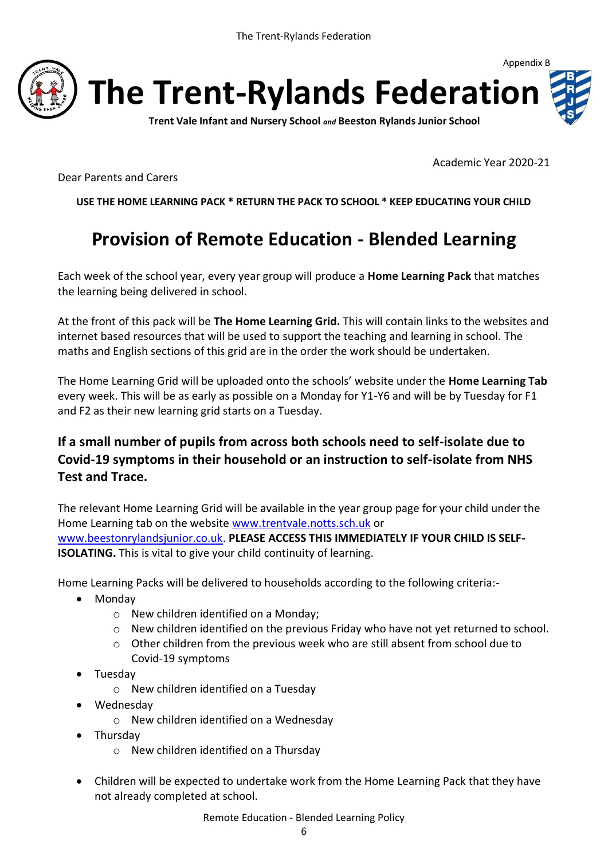

**Trent Vale Infant and Nursery School** *and* **Beeston Rylands Junior School**

Academic Year 2020-21

Appendix B

Dear Parents and Carers

**USE THE HOME LEARNING PACK \* RETURN THE PACK TO SCHOOL \* KEEP EDUCATING YOUR CHILD**

## **Provision of Remote Education - Blended Learning**

Each week of the school year, every year group will produce a **Home Learning Pack** that matches the learning being delivered in school.

At the front of this pack will be **The Home Learning Grid.** This will contain links to the websites and internet based resources that will be used to support the teaching and learning in school. The maths and English sections of this grid are in the order the work should be undertaken.

The Home Learning Grid will be uploaded onto the schools' website under the **Home Learning Tab** every week. This will be as early as possible on a Monday for Y1-Y6 and will be by Tuesday for F1 and F2 as their new learning grid starts on a Tuesday.

## **If a small number of pupils from across both schools need to self-isolate due to Covid-19 symptoms in their household or an instruction to self-isolate from NHS Test and Trace.**

The relevant Home Learning Grid will be available in the year group page for your child under the Home Learning tab on the website [www.trentvale.notts.sch.uk](http://www.trentvale.notts.sch.uk/) or [www.beestonrylandsjunior.co.uk.](http://www.beestonrylandsjunior.co.uk/) **PLEASE ACCESS THIS IMMEDIATELY IF YOUR CHILD IS SELF-ISOLATING.** This is vital to give your child continuity of learning.

Home Learning Packs will be delivered to households according to the following criteria:-

- Mondav
	- o New children identified on a Monday;
	- o New children identified on the previous Friday who have not yet returned to school.
	- o Other children from the previous week who are still absent from school due to Covid-19 symptoms
- Tuesdav
	- o New children identified on a Tuesday
- Wednesday
	- o New children identified on a Wednesday
- Thursdav
	- o New children identified on a Thursday
- Children will be expected to undertake work from the Home Learning Pack that they have not already completed at school.

Remote Education - Blended Learning Policy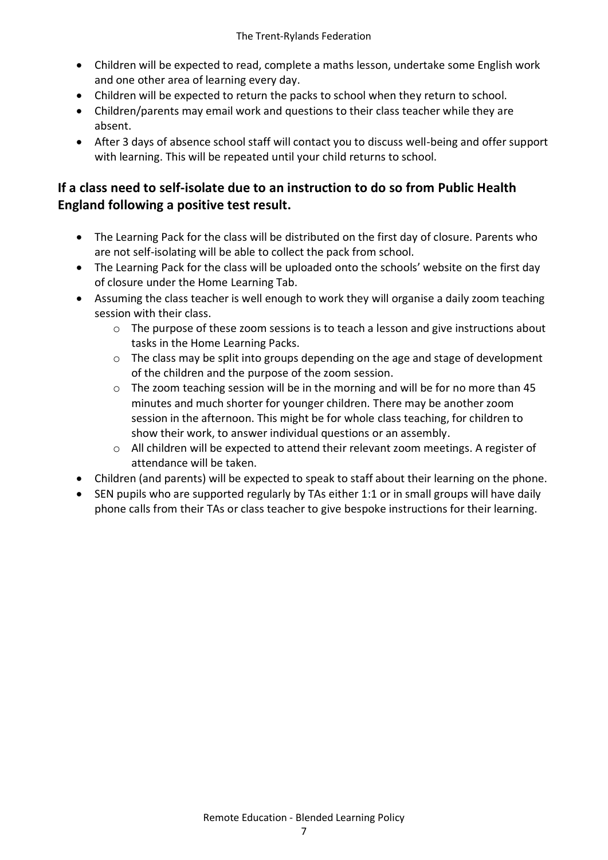- Children will be expected to read, complete a maths lesson, undertake some English work and one other area of learning every day.
- Children will be expected to return the packs to school when they return to school.
- Children/parents may email work and questions to their class teacher while they are absent.
- After 3 days of absence school staff will contact you to discuss well-being and offer support with learning. This will be repeated until your child returns to school.

## **If a class need to self-isolate due to an instruction to do so from Public Health England following a positive test result.**

- The Learning Pack for the class will be distributed on the first day of closure. Parents who are not self-isolating will be able to collect the pack from school.
- The Learning Pack for the class will be uploaded onto the schools' website on the first day of closure under the Home Learning Tab.
- Assuming the class teacher is well enough to work they will organise a daily zoom teaching session with their class.
	- o The purpose of these zoom sessions is to teach a lesson and give instructions about tasks in the Home Learning Packs.
	- $\circ$  The class may be split into groups depending on the age and stage of development of the children and the purpose of the zoom session.
	- o The zoom teaching session will be in the morning and will be for no more than 45 minutes and much shorter for younger children. There may be another zoom session in the afternoon. This might be for whole class teaching, for children to show their work, to answer individual questions or an assembly.
	- $\circ$  All children will be expected to attend their relevant zoom meetings. A register of attendance will be taken.
- Children (and parents) will be expected to speak to staff about their learning on the phone.
- SEN pupils who are supported regularly by TAs either 1:1 or in small groups will have daily phone calls from their TAs or class teacher to give bespoke instructions for their learning.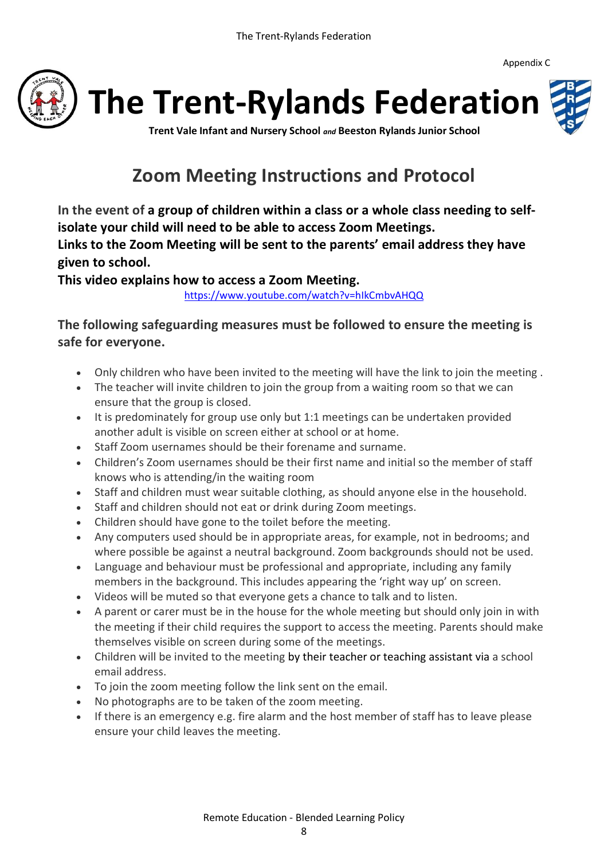Appendix C





**The Trent-Rylands Federation**

**Trent Vale Infant and Nursery School** *and* **Beeston Rylands Junior School**

## **Zoom Meeting Instructions and Protocol**

**In the event of a group of children within a class or a whole class needing to selfisolate your child will need to be able to access Zoom Meetings.**

**Links to the Zoom Meeting will be sent to the parents' email address they have given to school.**

**This video explains how to access a Zoom Meeting.** 

<https://www.youtube.com/watch?v=hIkCmbvAHQQ>

**The following safeguarding measures must be followed to ensure the meeting is safe for everyone.**

- Only children who have been invited to the meeting will have the link to join the meeting .
- The teacher will invite children to join the group from a waiting room so that we can ensure that the group is closed.
- It is predominately for group use only but 1:1 meetings can be undertaken provided another adult is visible on screen either at school or at home.
- Staff Zoom usernames should be their forename and surname.
- Children's Zoom usernames should be their first name and initial so the member of staff knows who is attending/in the waiting room
- Staff and children must wear suitable clothing, as should anyone else in the household.
- Staff and children should not eat or drink during Zoom meetings.
- Children should have gone to the toilet before the meeting.
- Any computers used should be in appropriate areas, for example, not in bedrooms; and where possible be against a neutral background. Zoom backgrounds should not be used.
- Language and behaviour must be professional and appropriate, including any family members in the background. This includes appearing the 'right way up' on screen.
- Videos will be muted so that everyone gets a chance to talk and to listen.
- A parent or carer must be in the house for the whole meeting but should only join in with the meeting if their child requires the support to access the meeting. Parents should make themselves visible on screen during some of the meetings.
- Children will be invited to the meeting by their teacher or teaching assistant via a school email address.
- To join the zoom meeting follow the link sent on the email.
- No photographs are to be taken of the zoom meeting.
- If there is an emergency e.g. fire alarm and the host member of staff has to leave please ensure your child leaves the meeting.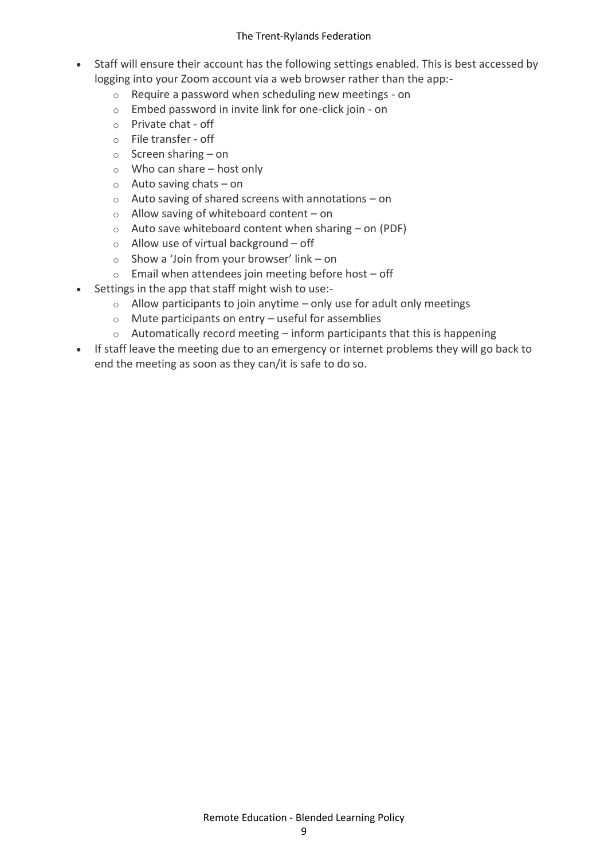- Staff will ensure their account has the following settings enabled. This is best accessed by logging into your Zoom account via a web browser rather than the app:
	- o Require a password when scheduling new meetings on
	- o Embed password in invite link for one-click join on
	- o Private chat off
	- o File transfer off
	- $\circ$  Screen sharing on
	- $\circ$  Who can share host only
	- $\circ$  Auto saving chats on
	- o Auto saving of shared screens with annotations on
	- o Allow saving of whiteboard content on
	- $\circ$  Auto save whiteboard content when sharing on (PDF)
	- $\circ$  Allow use of virtual background off
	- o Show a 'Join from your browser' link on
	- $\circ$  Email when attendees join meeting before host off
- Settings in the app that staff might wish to use:-
	- $\circ$  Allow participants to join anytime only use for adult only meetings
	- $\circ$  Mute participants on entry useful for assemblies
	- $\circ$  Automatically record meeting inform participants that this is happening
- If staff leave the meeting due to an emergency or internet problems they will go back to end the meeting as soon as they can/it is safe to do so.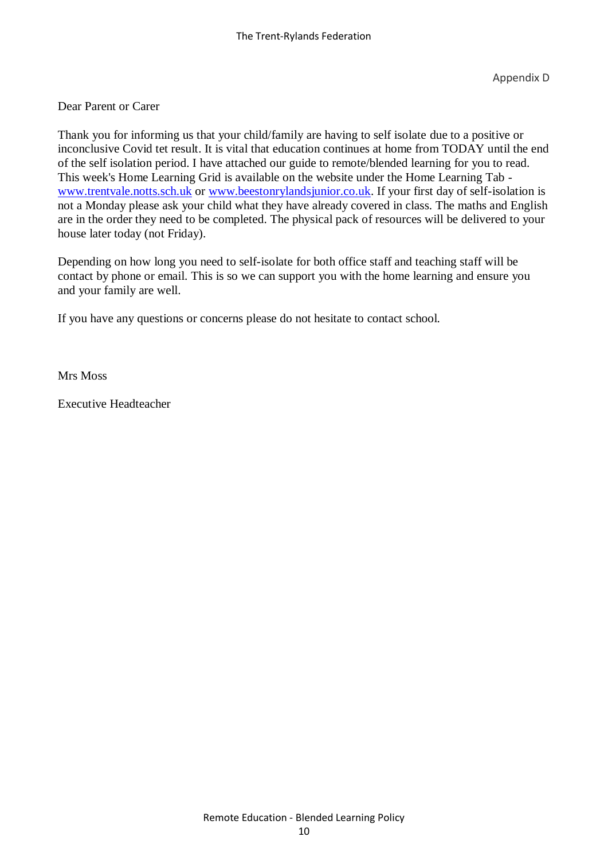Dear Parent or Carer

Thank you for informing us that your child/family are having to self isolate due to a positive or inconclusive Covid tet result. It is vital that education continues at home from TODAY until the end of the self isolation period. I have attached our guide to remote/blended learning for you to read. This week's Home Learning Grid is available on the website under the Home Learning Tab [www.trentvale.notts.sch.uk](http://www.trentvale.notts.sch.uk/) or [www.beestonrylandsjunior.co.uk.](http://www.beestonrylandsjunior.co.uk/) If your first day of self-isolation is not a Monday please ask your child what they have already covered in class. The maths and English are in the order they need to be completed. The physical pack of resources will be delivered to your house later today (not Friday).

Depending on how long you need to self-isolate for both office staff and teaching staff will be contact by phone or email. This is so we can support you with the home learning and ensure you and your family are well.

If you have any questions or concerns please do not hesitate to contact school.

Mrs Moss

Executive Headteacher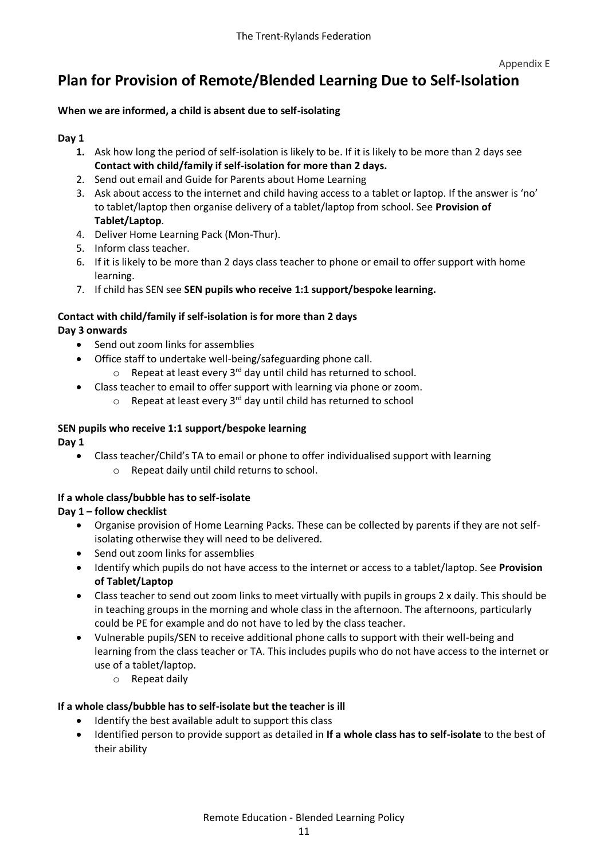## **Plan for Provision of Remote/Blended Learning Due to Self-Isolation**

#### **When we are informed, a child is absent due to self-isolating**

#### **Day 1**

- **1.** Ask how long the period of self-isolation is likely to be. If it is likely to be more than 2 days see **Contact with child/family if self-isolation for more than 2 days.**
- 2. Send out email and Guide for Parents about Home Learning
- 3. Ask about access to the internet and child having access to a tablet or laptop. If the answer is 'no' to tablet/laptop then organise delivery of a tablet/laptop from school. See **Provision of Tablet/Laptop**.
- 4. Deliver Home Learning Pack (Mon-Thur).
- 5. Inform class teacher.
- 6. If it is likely to be more than 2 days class teacher to phone or email to offer support with home learning.
- 7. If child has SEN see **SEN pupils who receive 1:1 support/bespoke learning.**

#### **Contact with child/family if self-isolation is for more than 2 days Day 3 onwards**

- Send out zoom links for assemblies
- Office staff to undertake well-being/safeguarding phone call.
	- $\circ$  Repeat at least every 3<sup>rd</sup> day until child has returned to school.
	- Class teacher to email to offer support with learning via phone or zoom.
		- $\circ$  Repeat at least every 3<sup>rd</sup> day until child has returned to school

## **SEN pupils who receive 1:1 support/bespoke learning**

**Day 1**

- Class teacher/Child's TA to email or phone to offer individualised support with learning
	- o Repeat daily until child returns to school.

### **If a whole class/bubble has to self-isolate**

### **Day 1 – follow checklist**

- Organise provision of Home Learning Packs. These can be collected by parents if they are not selfisolating otherwise they will need to be delivered.
- Send out zoom links for assemblies
- Identify which pupils do not have access to the internet or access to a tablet/laptop. See **Provision of Tablet/Laptop**
- Class teacher to send out zoom links to meet virtually with pupils in groups 2 x daily. This should be in teaching groups in the morning and whole class in the afternoon. The afternoons, particularly could be PE for example and do not have to led by the class teacher.
- Vulnerable pupils/SEN to receive additional phone calls to support with their well-being and learning from the class teacher or TA. This includes pupils who do not have access to the internet or use of a tablet/laptop.
	- o Repeat daily

### **If a whole class/bubble has to self-isolate but the teacher is ill**

- Identify the best available adult to support this class
- Identified person to provide support as detailed in **If a whole class has to self-isolate** to the best of their ability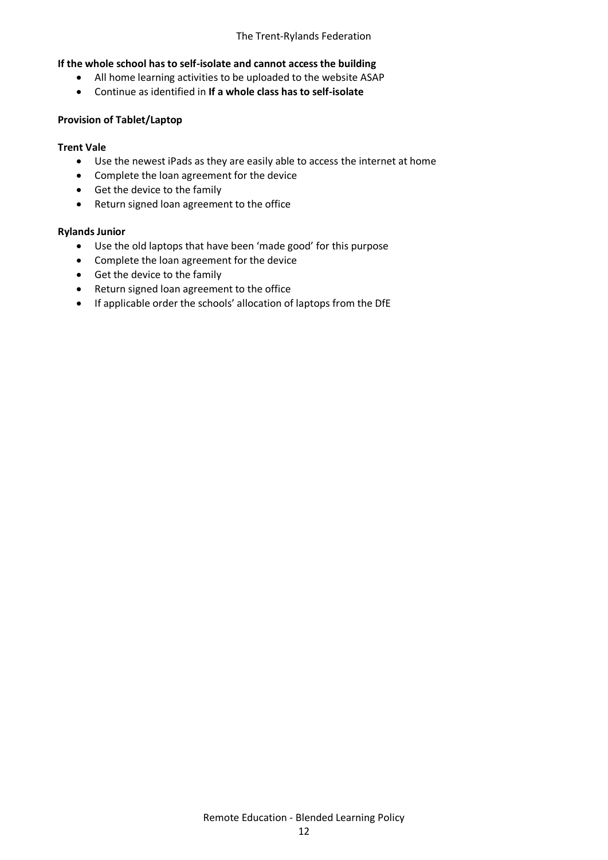#### **If the whole school has to self-isolate and cannot access the building**

- All home learning activities to be uploaded to the website ASAP
- Continue as identified in **If a whole class has to self-isolate**

#### **Provision of Tablet/Laptop**

#### **Trent Vale**

- Use the newest iPads as they are easily able to access the internet at home
- Complete the loan agreement for the device
- Get the device to the family
- Return signed loan agreement to the office

#### **Rylands Junior**

- Use the old laptops that have been 'made good' for this purpose
- Complete the loan agreement for the device
- Get the device to the family
- Return signed loan agreement to the office
- If applicable order the schools' allocation of laptops from the DfE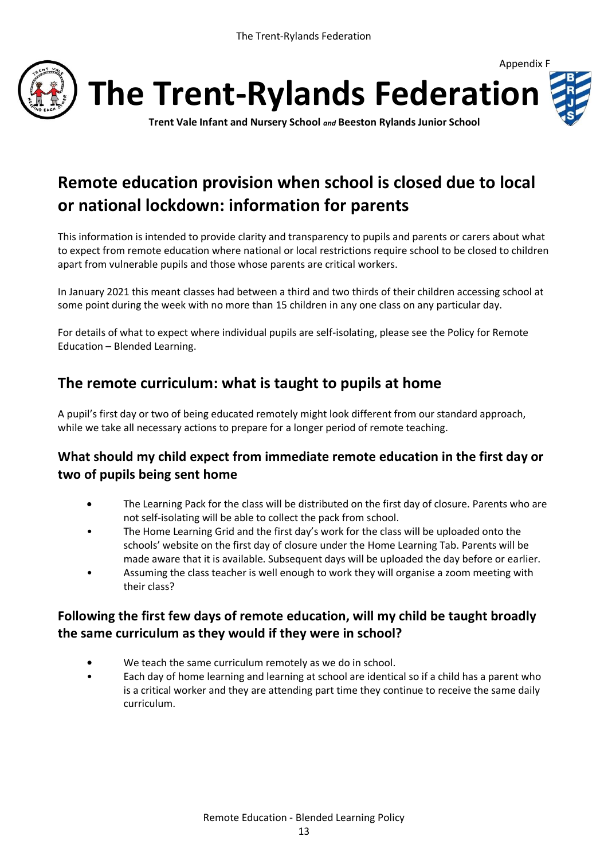

## **Remote education provision when school is closed due to local or national lockdown: information for parents**

This information is intended to provide clarity and transparency to pupils and parents or carers about what to expect from remote education where national or local restrictions require school to be closed to children apart from vulnerable pupils and those whose parents are critical workers.

In January 2021 this meant classes had between a third and two thirds of their children accessing school at some point during the week with no more than 15 children in any one class on any particular day.

For details of what to expect where individual pupils are self-isolating, please see the Policy for Remote Education – Blended Learning.

## **The remote curriculum: what is taught to pupils at home**

A pupil's first day or two of being educated remotely might look different from our standard approach, while we take all necessary actions to prepare for a longer period of remote teaching.

### **What should my child expect from immediate remote education in the first day or two of pupils being sent home**

- The Learning Pack for the class will be distributed on the first day of closure. Parents who are not self-isolating will be able to collect the pack from school.
- The Home Learning Grid and the first day's work for the class will be uploaded onto the schools' website on the first day of closure under the Home Learning Tab. Parents will be made aware that it is available. Subsequent days will be uploaded the day before or earlier.
- Assuming the class teacher is well enough to work they will organise a zoom meeting with their class?

## **Following the first few days of remote education, will my child be taught broadly the same curriculum as they would if they were in school?**

- **•** We teach the same curriculum remotely as we do in school.
- Each day of home learning and learning at school are identical so if a child has a parent who is a critical worker and they are attending part time they continue to receive the same daily curriculum.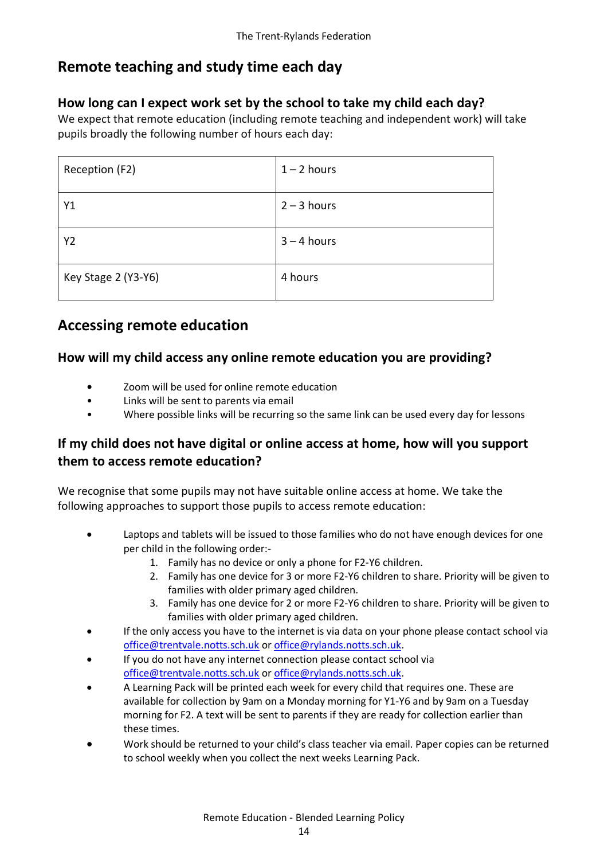## **Remote teaching and study time each day**

## **How long can I expect work set by the school to take my child each day?**

We expect that remote education (including remote teaching and independent work) will take pupils broadly the following number of hours each day:

| Reception (F2)      | $1 - 2$ hours |
|---------------------|---------------|
| Υ1                  | $2 - 3$ hours |
| Y2                  | $3 - 4$ hours |
| Key Stage 2 (Y3-Y6) | 4 hours       |

## **Accessing remote education**

### **How will my child access any online remote education you are providing?**

- **•** Zoom will be used for online remote education
- Links will be sent to parents via email
- Where possible links will be recurring so the same link can be used every day for lessons

## **If my child does not have digital or online access at home, how will you support them to access remote education?**

We recognise that some pupils may not have suitable online access at home. We take the following approaches to support those pupils to access remote education:

- Laptops and tablets will be issued to those families who do not have enough devices for one per child in the following order:-
	- 1. Family has no device or only a phone for F2-Y6 children.
	- 2. Family has one device for 3 or more F2-Y6 children to share. Priority will be given to families with older primary aged children.
	- 3. Family has one device for 2 or more F2-Y6 children to share. Priority will be given to families with older primary aged children.
- If the only access you have to the internet is via data on your phone please contact school via [office@trentvale.notts.sch.uk](mailto:office@trentvale.notts.sch.uk) o[r office@rylands.notts.sch.uk.](mailto:office@rylands.notts.sch.uk)
- If you do not have any internet connection please contact school via [office@trentvale.notts.sch.uk](mailto:office@trentvale.notts.sch.uk) o[r office@rylands.notts.sch.uk.](mailto:office@rylands.notts.sch.uk)
- A Learning Pack will be printed each week for every child that requires one. These are available for collection by 9am on a Monday morning for Y1-Y6 and by 9am on a Tuesday morning for F2. A text will be sent to parents if they are ready for collection earlier than these times.
- Work should be returned to your child's class teacher via email. Paper copies can be returned to school weekly when you collect the next weeks Learning Pack.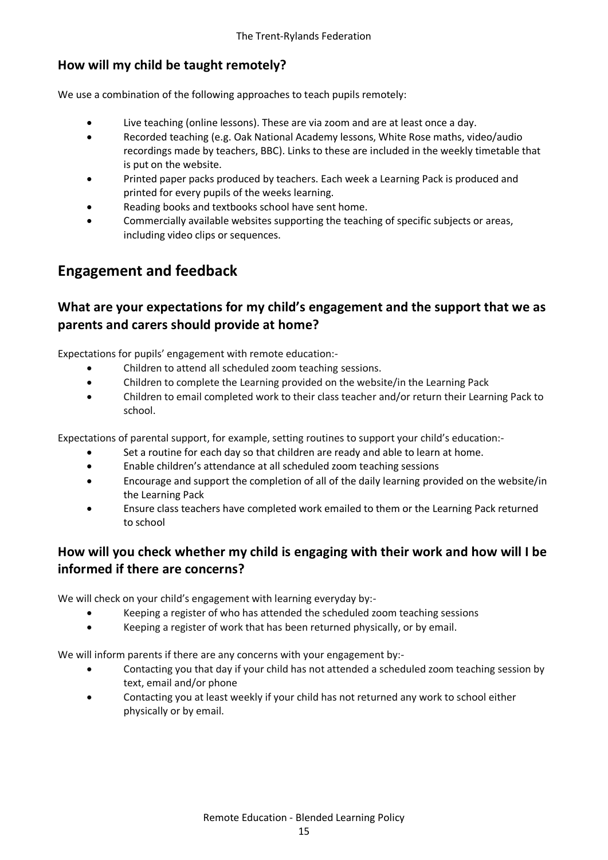## **How will my child be taught remotely?**

We use a combination of the following approaches to teach pupils remotely:

- Live teaching (online lessons). These are via zoom and are at least once a day.
- Recorded teaching (e.g. Oak National Academy lessons, White Rose maths, video/audio recordings made by teachers, BBC). Links to these are included in the weekly timetable that is put on the website.
- Printed paper packs produced by teachers. Each week a Learning Pack is produced and printed for every pupils of the weeks learning.
- Reading books and textbooks school have sent home.
- Commercially available websites supporting the teaching of specific subjects or areas, including video clips or sequences.

## **Engagement and feedback**

## **What are your expectations for my child's engagement and the support that we as parents and carers should provide at home?**

Expectations for pupils' engagement with remote education:-

- Children to attend all scheduled zoom teaching sessions.
- Children to complete the Learning provided on the website/in the Learning Pack
- Children to email completed work to their class teacher and/or return their Learning Pack to school.

Expectations of parental support, for example, setting routines to support your child's education:-

- Set a routine for each day so that children are ready and able to learn at home.
- Enable children's attendance at all scheduled zoom teaching sessions
- Encourage and support the completion of all of the daily learning provided on the website/in the Learning Pack
- Ensure class teachers have completed work emailed to them or the Learning Pack returned to school

### **How will you check whether my child is engaging with their work and how will I be informed if there are concerns?**

We will check on your child's engagement with learning everyday by:-

- Keeping a register of who has attended the scheduled zoom teaching sessions
- Keeping a register of work that has been returned physically, or by email.

We will inform parents if there are any concerns with your engagement by:-

- Contacting you that day if your child has not attended a scheduled zoom teaching session by text, email and/or phone
- Contacting you at least weekly if your child has not returned any work to school either physically or by email.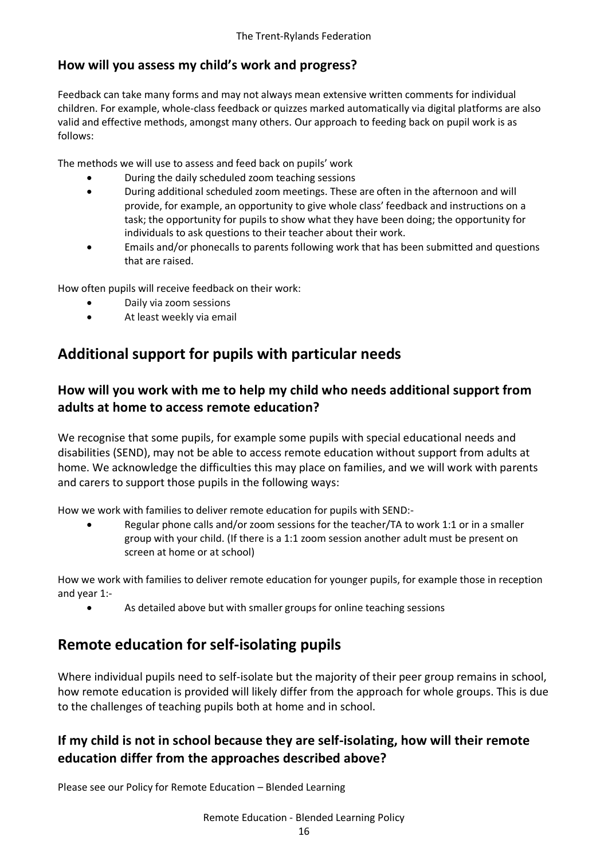## **How will you assess my child's work and progress?**

Feedback can take many forms and may not always mean extensive written comments for individual children. For example, whole-class feedback or quizzes marked automatically via digital platforms are also valid and effective methods, amongst many others. Our approach to feeding back on pupil work is as follows:

The methods we will use to assess and feed back on pupils' work

- During the daily scheduled zoom teaching sessions
- During additional scheduled zoom meetings. These are often in the afternoon and will provide, for example, an opportunity to give whole class' feedback and instructions on a task; the opportunity for pupils to show what they have been doing; the opportunity for individuals to ask questions to their teacher about their work.
- Emails and/or phonecalls to parents following work that has been submitted and questions that are raised.

How often pupils will receive feedback on their work:

- Daily via zoom sessions
- At least weekly via email

## **Additional support for pupils with particular needs**

## **How will you work with me to help my child who needs additional support from adults at home to access remote education?**

We recognise that some pupils, for example some pupils with special educational needs and disabilities (SEND), may not be able to access remote education without support from adults at home. We acknowledge the difficulties this may place on families, and we will work with parents and carers to support those pupils in the following ways:

How we work with families to deliver remote education for pupils with SEND:-

 Regular phone calls and/or zoom sessions for the teacher/TA to work 1:1 or in a smaller group with your child. (If there is a 1:1 zoom session another adult must be present on screen at home or at school)

How we work with families to deliver remote education for younger pupils, for example those in reception and year 1:-

As detailed above but with smaller groups for online teaching sessions

## **Remote education for self-isolating pupils**

Where individual pupils need to self-isolate but the majority of their peer group remains in school, how remote education is provided will likely differ from the approach for whole groups. This is due to the challenges of teaching pupils both at home and in school.

## **If my child is not in school because they are self-isolating, how will their remote education differ from the approaches described above?**

Please see our Policy for Remote Education – Blended Learning